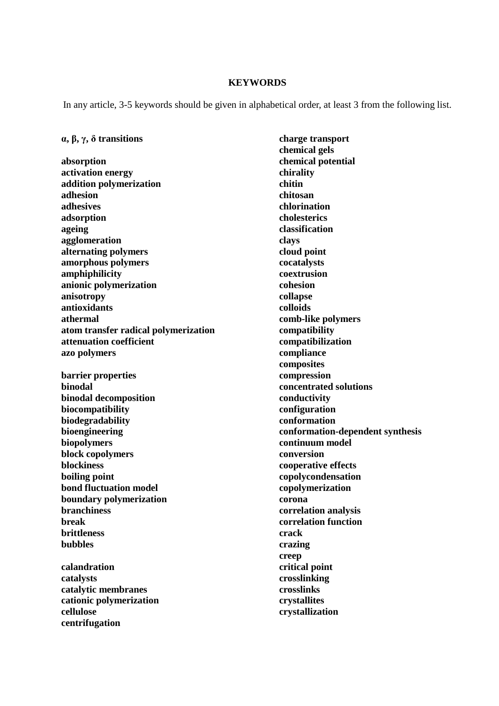## **KEYWORDS**

In any article, 3-5 keywords should be given in alphabetical order, at least 3 from the following list.

## α**,** β**,** γ**,** δ **transitions**

**absorption activation energy addition polymerization adhesion adhesives adsorption ageing agglomeration alternating polymers amorphous polymers amphiphilicity anionic polymerization anisotropy antioxidants athermal atom transfer radical polymerization attenuation coefficient azo polymers barrier properties binodal binodal decomposition biocompatibility biodegradability bioengineering biopolymers block copolymers blockiness boiling point bond fluctuation model boundary polymerization branchiness break brittleness bubbles calandration catalysts** 

**catalytic membranes cationic polymerization cellulose centrifugation** 

**charge transport chemical gels chemical potential chirality chitin chitosan chlorination cholesterics classification clays cloud point cocatalysts coextrusion cohesion collapse colloids comb-like polymers compatibility compatibilization compliance composites compression concentrated solutions conductivity configuration conformation conformation-dependent synthesis continuum model conversion cooperative effects copolycondensation copolymerization corona correlation analysis correlation function crack crazing creep critical point crosslinking crosslinks crystallites crystallization**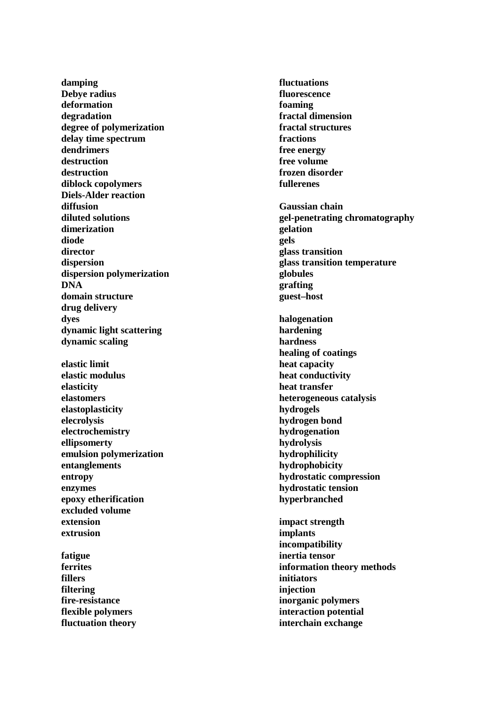**damping Debye radius deformation degradation degree of polymerization delay time spectrum dendrimers destruction destruction diblock copolymers Diels-Alder reaction diffusion diluted solutions dimerization diode director dispersion dispersion polymerization DNA domain structure drug delivery dyes dynamic light scattering dynamic scaling elastic limit elastic modulus elasticity elastomers elastoplasticity elecrolysis electrochemistry ellipsomerty emulsion polymerization entanglements entropy enzymes epoxy etherification excluded volume extension extrusion fatigue ferrites** 

**fillers filtering fire-resistance flexible polymers fluctuation theory** 

**fluctuations fluorescence foaming fractal dimension fractal structures fractions free energy free volume frozen disorder fullerenes Gaussian chain gel-penetrating chromatography gelation gels glass transition glass transition temperature globules grafting guest–host halogenation hardening hardness healing of coatings heat capacity heat conductivity heat transfer heterogeneous catalysis hydrogels hydrogen bond hydrogenation hydrolysis hydrophilicity hydrophobicity hydrostatic compression hydrostatic tension hyperbranched impact strength implants incompatibility inertia tensor information theory methods initiators injection inorganic polymers interaction potential interchain exchange**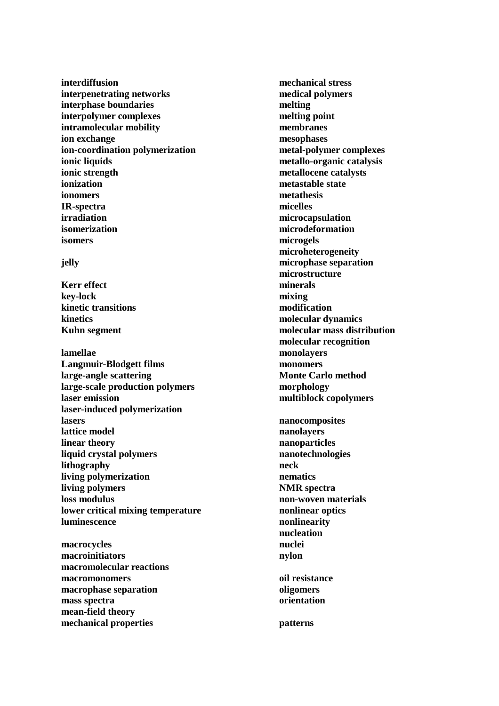**interdiffusion interpenetrating networks interphase boundaries interpolymer complexes intramolecular mobility ion exchange ion-coordination polymerization ionic liquids ionic strength ionization ionomers IR-spectra irradiation isomerization isomers** 

## **jelly**

**Kerr effect key-lock kinetic transitions kinetics Kuhn segment** 

**lamellae Langmuir-Blodgett films large-angle scattering large-scale production polymers laser emission laser-induced polymerization lasers lattice model linear theory liquid crystal polymers lithography living polymerization living polymers loss modulus lower critical mixing temperature luminescence** 

**macrocycles macroinitiators macromolecular reactions macromonomers macrophase separation mass spectra mean-field theory mechanical properties** 

**mechanical stress medical polymers melting melting point membranes mesophases metal-polymer complexes metallo-organic catalysis metallocene catalysts metastable state metathesis micelles microcapsulation microdeformation microgels microheterogeneity microphase separation microstructure minerals mixing modification molecular dynamics molecular mass distribution molecular recognition monolayers monomers Monte Carlo method morphology multiblock copolymers nanocomposites nanolayers nanoparticles** 

**nanotechnologies neck nematics NMR spectra non-woven materials nonlinear optics nonlinearity nucleation nuclei nylon oil resistance oligomers** 

**patterns** 

**orientation**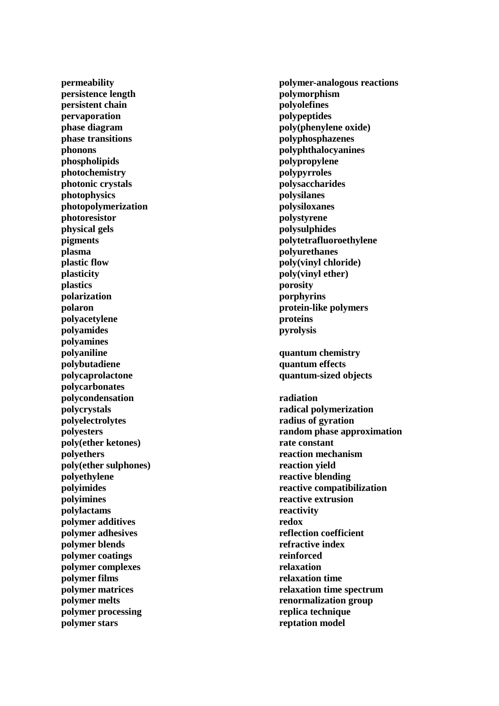**permeability persistence length persistent chain pervaporation phase diagram phase transitions phonons phospholipids photochemistry photonic crystals photophysics photopolymerization photoresistor physical gels pigments plasma plastic flow plasticity plastics polarization polaron polyacetylene polyamides polyamines polyaniline polybutadiene polycaprolactone polycarbonates polycondensation polycrystals polyelectrolytes polyesters poly(ether ketones) polyethers poly(ether sulphones) polyethylene polyimides polyimines polylactams polymer additives polymer adhesives polymer blends polymer coatings polymer complexes polymer films polymer matrices polymer melts polymer processing polymer stars** 

**polymer-analogous reactions polymorphism polyolefines polypeptides poly(phenylene oxide) polyphosphazenes polyphthalocyanines polypropylene polypyrroles polysaccharides polysilanes polysiloxanes polystyrene polysulphides polytetrafluoroethylene polyurethanes poly(vinyl chloride) poly(vinyl ether) porosity porphyrins protein-like polymers proteins pyrolysis quantum chemistry quantum effects quantum-sized objects radiation radical polymerization radius of gyration random phase approximation rate constant reaction mechanism reaction yield reactive blending reactive compatibilization reactive extrusion reactivity redox reflection coefficient refractive index reinforced relaxation relaxation time relaxation time spectrum renormalization group replica technique reptation model**